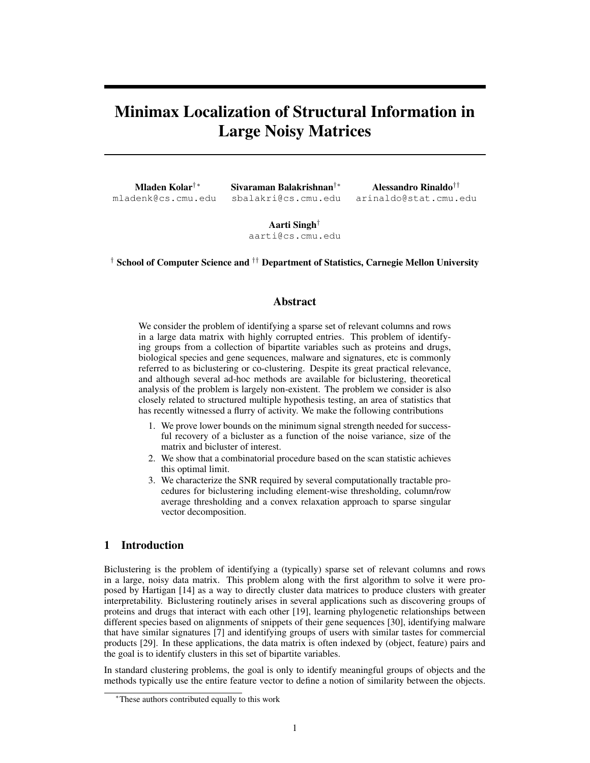# Minimax Localization of Structural Information in Large Noisy Matrices

Mladen Kolar*†*⇤ mladenk@cs.cmu.edu Sivaraman Balakrishnan*†*⇤ sbalakri@cs.cmu.edu

Alessandro Rinaldo*††* arinaldo@stat.cmu.edu

Aarti Singh*†* aarti@cs.cmu.edu

*†* School of Computer Science and *††* Department of Statistics, Carnegie Mellon University

# Abstract

We consider the problem of identifying a sparse set of relevant columns and rows in a large data matrix with highly corrupted entries. This problem of identifying groups from a collection of bipartite variables such as proteins and drugs, biological species and gene sequences, malware and signatures, etc is commonly referred to as biclustering or co-clustering. Despite its great practical relevance, and although several ad-hoc methods are available for biclustering, theoretical analysis of the problem is largely non-existent. The problem we consider is also closely related to structured multiple hypothesis testing, an area of statistics that has recently witnessed a flurry of activity. We make the following contributions

- 1. We prove lower bounds on the minimum signal strength needed for successful recovery of a bicluster as a function of the noise variance, size of the matrix and bicluster of interest.
- 2. We show that a combinatorial procedure based on the scan statistic achieves this optimal limit.
- 3. We characterize the SNR required by several computationally tractable procedures for biclustering including element-wise thresholding, column/row average thresholding and a convex relaxation approach to sparse singular vector decomposition.

# 1 Introduction

Biclustering is the problem of identifying a (typically) sparse set of relevant columns and rows in a large, noisy data matrix. This problem along with the first algorithm to solve it were proposed by Hartigan [14] as a way to directly cluster data matrices to produce clusters with greater interpretability. Biclustering routinely arises in several applications such as discovering groups of proteins and drugs that interact with each other [19], learning phylogenetic relationships between different species based on alignments of snippets of their gene sequences [30], identifying malware that have similar signatures [7] and identifying groups of users with similar tastes for commercial products [29]. In these applications, the data matrix is often indexed by (object, feature) pairs and the goal is to identify clusters in this set of bipartite variables.

In standard clustering problems, the goal is only to identify meaningful groups of objects and the methods typically use the entire feature vector to define a notion of similarity between the objects.

<sup>⇤</sup>These authors contributed equally to this work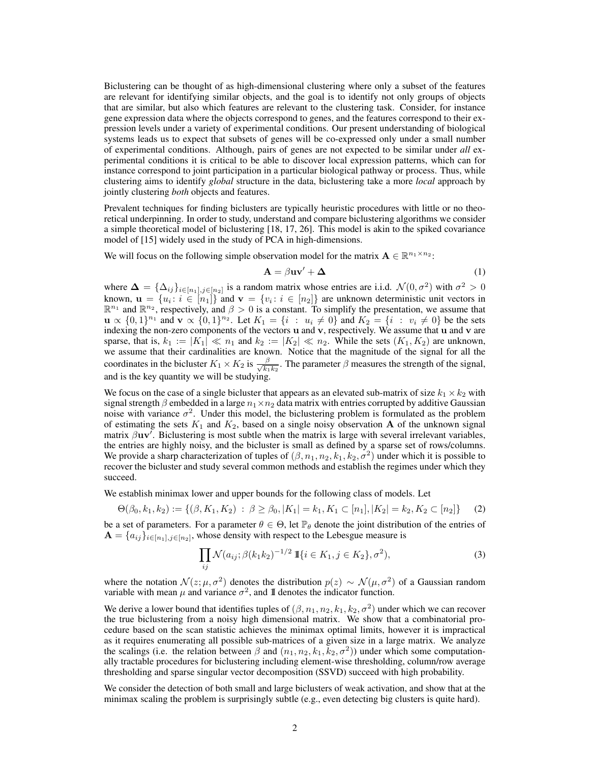Biclustering can be thought of as high-dimensional clustering where only a subset of the features are relevant for identifying similar objects, and the goal is to identify not only groups of objects that are similar, but also which features are relevant to the clustering task. Consider, for instance gene expression data where the objects correspond to genes, and the features correspond to their expression levels under a variety of experimental conditions. Our present understanding of biological systems leads us to expect that subsets of genes will be co-expressed only under a small number of experimental conditions. Although, pairs of genes are not expected to be similar under *all* experimental conditions it is critical to be able to discover local expression patterns, which can for instance correspond to joint participation in a particular biological pathway or process. Thus, while clustering aims to identify *global* structure in the data, biclustering take a more *local* approach by jointly clustering *both* objects and features.

Prevalent techniques for finding biclusters are typically heuristic procedures with little or no theoretical underpinning. In order to study, understand and compare biclustering algorithms we consider a simple theoretical model of biclustering [18, 17, 26]. This model is akin to the spiked covariance model of [15] widely used in the study of PCA in high-dimensions.

We will focus on the following simple observation model for the matrix  $A \in \mathbb{R}^{n_1 \times n_2}$ :

$$
\mathbf{A} = \beta \mathbf{u} \mathbf{v}' + \mathbf{\Delta} \tag{1}
$$

where  $\Delta = {\Delta_{ij}}_{i \in [n_1], j \in [n_2]}$  is a random matrix whose entries are i.i.d.  $\mathcal{N}(0, \sigma^2)$  with  $\sigma^2 > 0$ known,  $\mathbf{u} = \{u_i : i \in [n_1]\}$  and  $\mathbf{v} = \{v_i : i \in [n_2]\}$  are unknown deterministic unit vectors in  $\mathbb{R}^{n_1}$  and  $\mathbb{R}^{n_2}$ , respectively, and  $\beta > 0$  is a constant. To simplify the presentation, we assume that  $\mathbf{u} \propto \{0,1\}^{n_1}$  and  $\mathbf{v} \propto \{0,1\}^{n_2}$ . Let  $K_1 = \{i : u_i \neq 0\}$  and  $K_2 = \{i : v_i \neq 0\}$  be the sets indexing the non-zero components of the vectors u and v, respectively. We assume that u and v are sparse, that is,  $k_1 := |K_1| \ll n_1$  and  $k_2 := |K_2| \ll n_2$ . While the sets  $(K_1, K_2)$  are unknown, we assume that their cardinalities are known. Notice that the magnitude of the signal for all the coordinates in the bicluster  $K_1 \times K_2$  is  $\frac{\beta}{\sqrt{k_1}}$  $\frac{\beta}{k_1 k_2}$ . The parameter  $\beta$  measures the strength of the signal, and is the key quantity we will be studying.

We focus on the case of a single bicluster that appears as an elevated sub-matrix of size  $k_1 \times k_2$  with signal strength  $\beta$  embedded in a large  $n_1 \times n_2$  data matrix with entries corrupted by additive Gaussian noise with variance  $\sigma^2$ . Under this model, the biclustering problem is formulated as the problem of estimating the sets  $K_1$  and  $K_2$ , based on a single noisy observation **A** of the unknown signal matrix  $\beta$ uv'. Biclustering is most subtle when the matrix is large with several irrelevant variables, the entries are highly noisy, and the bicluster is small as defined by a sparse set of rows/columns. We provide a sharp characterization of tuples of  $(\beta, n_1, n_2, k_1, k_2, \sigma^2)$  under which it is possible to recover the bicluster and study several common methods and establish the regimes under which they succeed.

We establish minimax lower and upper bounds for the following class of models. Let

$$
\Theta(\beta_0, k_1, k_2) := \{ (\beta, K_1, K_2) : \beta \ge \beta_0, |K_1| = k_1, K_1 \subset [n_1], |K_2| = k_2, K_2 \subset [n_2] \} \tag{2}
$$

be a set of parameters. For a parameter  $\theta \in \Theta$ , let  $\mathbb{P}_{\theta}$  denote the joint distribution of the entries of  $\mathbf{A} = \{a_{ij}\}_{i \in [n_1], j \in [n_2]}$ , whose density with respect to the Lebesgue measure is

$$
\prod_{ij} \mathcal{N}(a_{ij}; \beta(k_1 k_2)^{-1/2} \, \mathbb{I}\{i \in K_1, j \in K_2\}, \sigma^2),\tag{3}
$$

where the notation  $\mathcal{N}(z; \mu, \sigma^2)$  denotes the distribution  $p(z) \sim \mathcal{N}(\mu, \sigma^2)$  of a Gaussian random variable with mean  $\mu$  and variance  $\sigma^2$ , and II denotes the indicator function.

We derive a lower bound that identifies tuples of  $(\beta, n_1, n_2, k_1, k_2, \sigma^2)$  under which we can recover the true biclustering from a noisy high dimensional matrix. We show that a combinatorial procedure based on the scan statistic achieves the minimax optimal limits, however it is impractical as it requires enumerating all possible sub-matrices of a given size in a large matrix. We analyze the scalings (i.e. the relation between  $\beta$  and  $(n_1, n_2, k_1, k_2, \sigma^2)$ ) under which some computationally tractable procedures for biclustering including element-wise thresholding, column/row average thresholding and sparse singular vector decomposition (SSVD) succeed with high probability.

We consider the detection of both small and large biclusters of weak activation, and show that at the minimax scaling the problem is surprisingly subtle (e.g., even detecting big clusters is quite hard).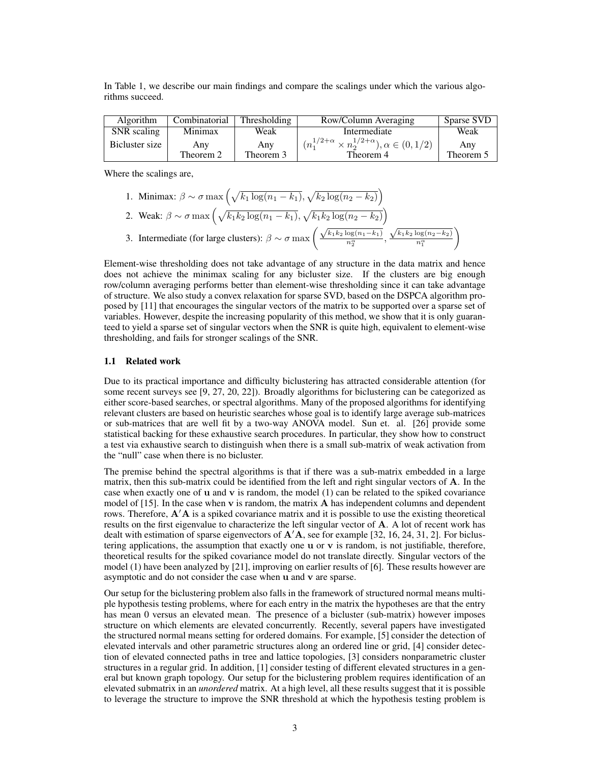In Table 1, we describe our main findings and compare the scalings under which the various algorithms succeed.

| Algorithm      | Combinatorial | <b>Thresholding</b> | Row/Column Averaging                                             | Sparse SVD |
|----------------|---------------|---------------------|------------------------------------------------------------------|------------|
| SNR scaling    | Minimax       | Weak                | Intermediate                                                     | Weak       |
| Bicluster size | Any           | Any                 | $(n_1^{1/2+\alpha} \times n_2^{1/2+\alpha}), \alpha \in (0,1/2)$ | Any        |
|                | Theorem 2     | Theorem 3           | Theorem 4                                                        | Theorem 5  |

Where the scalings are,

\n- 1. Minimax: 
$$
\beta \sim \sigma \max \left( \sqrt{k_1 \log(n_1 - k_1)}, \sqrt{k_2 \log(n_2 - k_2)} \right)
$$
\n- 2. Weak:  $\beta \sim \sigma \max \left( \sqrt{k_1 k_2 \log(n_1 - k_1)}, \sqrt{k_1 k_2 \log(n_2 - k_2)} \right)$
\n- 3. Intermediate (for large clusters):  $\beta \sim \sigma \max \left( \frac{\sqrt{k_1 k_2 \log(n_1 - k_1)}}{n_2^{\alpha}}, \frac{\sqrt{k_1 k_2 \log(n_2 - k_2)}}{n_1^{\alpha}} \right)$
\n

Element-wise thresholding does not take advantage of any structure in the data matrix and hence does not achieve the minimax scaling for any bicluster size. If the clusters are big enough row/column averaging performs better than element-wise thresholding since it can take advantage of structure. We also study a convex relaxation for sparse SVD, based on the DSPCA algorithm proposed by [11] that encourages the singular vectors of the matrix to be supported over a sparse set of variables. However, despite the increasing popularity of this method, we show that it is only guaranteed to yield a sparse set of singular vectors when the SNR is quite high, equivalent to element-wise thresholding, and fails for stronger scalings of the SNR.

#### 1.1 Related work

Due to its practical importance and difficulty biclustering has attracted considerable attention (for some recent surveys see [9, 27, 20, 22]). Broadly algorithms for biclustering can be categorized as either score-based searches, or spectral algorithms. Many of the proposed algorithms for identifying relevant clusters are based on heuristic searches whose goal is to identify large average sub-matrices or sub-matrices that are well fit by a two-way ANOVA model. Sun et. al. [26] provide some statistical backing for these exhaustive search procedures. In particular, they show how to construct a test via exhaustive search to distinguish when there is a small sub-matrix of weak activation from the "null" case when there is no bicluster.

The premise behind the spectral algorithms is that if there was a sub-matrix embedded in a large matrix, then this sub-matrix could be identified from the left and right singular vectors of A. In the case when exactly one of  $\bf{u}$  and  $\bf{v}$  is random, the model (1) can be related to the spiked covariance model of  $[15]$ . In the case when v is random, the matrix  $\bf{A}$  has independent columns and dependent rows. Therefore,  $A'A$  is a spiked covariance matrix and it is possible to use the existing theoretical results on the first eigenvalue to characterize the left singular vector of A. A lot of recent work has dealt with estimation of sparse eigenvectors of  $\mathbf{A}'\mathbf{A}$ , see for example [32, 16, 24, 31, 2]. For biclustering applications, the assumption that exactly one  $\bf{u}$  or  $\bf{v}$  is random, is not justifiable, therefore, theoretical results for the spiked covariance model do not translate directly. Singular vectors of the model (1) have been analyzed by [21], improving on earlier results of [6]. These results however are asymptotic and do not consider the case when u and v are sparse.

Our setup for the biclustering problem also falls in the framework of structured normal means multiple hypothesis testing problems, where for each entry in the matrix the hypotheses are that the entry has mean 0 versus an elevated mean. The presence of a bicluster (sub-matrix) however imposes structure on which elements are elevated concurrently. Recently, several papers have investigated the structured normal means setting for ordered domains. For example, [5] consider the detection of elevated intervals and other parametric structures along an ordered line or grid, [4] consider detection of elevated connected paths in tree and lattice topologies, [3] considers nonparametric cluster structures in a regular grid. In addition, [1] consider testing of different elevated structures in a general but known graph topology. Our setup for the biclustering problem requires identification of an elevated submatrix in an *unordered* matrix. At a high level, all these results suggest that it is possible to leverage the structure to improve the SNR threshold at which the hypothesis testing problem is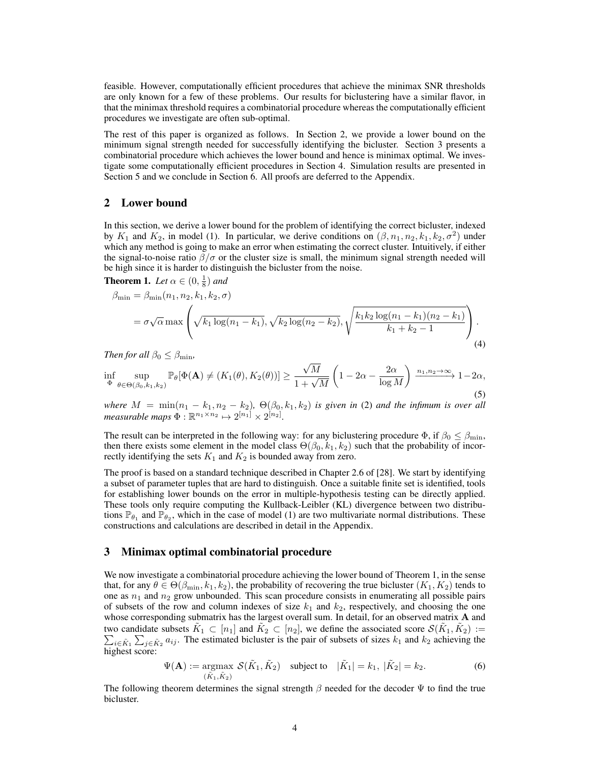feasible. However, computationally efficient procedures that achieve the minimax SNR thresholds are only known for a few of these problems. Our results for biclustering have a similar flavor, in that the minimax threshold requires a combinatorial procedure whereas the computationally efficient procedures we investigate are often sub-optimal.

The rest of this paper is organized as follows. In Section 2, we provide a lower bound on the minimum signal strength needed for successfully identifying the bicluster. Section 3 presents a combinatorial procedure which achieves the lower bound and hence is minimax optimal. We investigate some computationally efficient procedures in Section 4. Simulation results are presented in Section 5 and we conclude in Section 6. All proofs are deferred to the Appendix.

## 2 Lower bound

In this section, we derive a lower bound for the problem of identifying the correct bicluster, indexed by  $K_1$  and  $K_2$ , in model (1). In particular, we derive conditions on  $(\beta, n_1, n_2, k_1, k_2, \sigma^2)$  under which any method is going to make an error when estimating the correct cluster. Intuitively, if either the signal-to-noise ratio  $\beta/\sigma$  or the cluster size is small, the minimum signal strength needed will be high since it is harder to distinguish the bicluster from the noise.

**Theorem 1.** Let  $\alpha \in (0, \frac{1}{8})$  and

$$
\beta_{\min} = \beta_{\min}(n_1, n_2, k_1, k_2, \sigma)
$$
  
=  $\sigma \sqrt{\alpha} \max \left( \sqrt{k_1 \log(n_1 - k_1)}, \sqrt{k_2 \log(n_2 - k_2)}, \sqrt{\frac{k_1 k_2 \log(n_1 - k_1)(n_2 - k_1)}{k_1 + k_2 - 1}} \right)$ . (4)

*Then for all*  $\beta_0 \leq \beta_{\min}$ *,* 

$$
\inf_{\Phi} \sup_{\theta \in \Theta(\beta_0, k_1, k_2)} \mathbb{P}_{\theta}[\Phi(\mathbf{A}) \neq (K_1(\theta), K_2(\theta))] \ge \frac{\sqrt{M}}{1 + \sqrt{M}} \left(1 - 2\alpha - \frac{2\alpha}{\log M}\right) \xrightarrow{n_1, n_2 \to \infty} 1 - 2\alpha,
$$
\n(5)

*where*  $M = \min(n_1 - k_1, n_2 - k_2)$ ,  $\Theta(\beta_0, k_1, k_2)$  *is given in* (2) *and the infimum is over all measurable maps*  $\Phi : \mathbb{R}^{n_1 \times n_2} \mapsto 2^{[n_1]} \times 2^{[n_2]}$ .

The result can be interpreted in the following way: for any biclustering procedure  $\Phi$ , if  $\beta_0 \leq \beta_{\min}$ , then there exists some element in the model class  $\Theta(\beta_0, k_1, k_2)$  such that the probability of incorrectly identifying the sets  $K_1$  and  $K_2$  is bounded away from zero.

The proof is based on a standard technique described in Chapter 2.6 of [28]. We start by identifying a subset of parameter tuples that are hard to distinguish. Once a suitable finite set is identified, tools for establishing lower bounds on the error in multiple-hypothesis testing can be directly applied. These tools only require computing the Kullback-Leibler (KL) divergence between two distributions  $\mathbb{P}_{\theta_1}$  and  $\mathbb{P}_{\theta_2}$ , which in the case of model (1) are two multivariate normal distributions. These constructions and calculations are described in detail in the Appendix.

## 3 Minimax optimal combinatorial procedure

We now investigate a combinatorial procedure achieving the lower bound of Theorem 1, in the sense that, for any  $\theta \in \Theta(\beta_{\min}, k_1, k_2)$ , the probability of recovering the true bicluster  $(K_1, K_2)$  tends to one as  $n_1$  and  $n_2$  grow unbounded. This scan procedure consists in enumerating all possible pairs of subsets of the row and column indexes of size  $k_1$  and  $k_2$ , respectively, and choosing the one whose corresponding submatrix has the largest overall sum. In detail, for an observed matrix A and two candidate subsets  $\tilde{K}_1 \subset [n_1]$  and  $\tilde{K}_2 \subset [n_2]$ , we define the associated score  $\mathcal{S}(\tilde{K}_1, \tilde{K}_2) := \sum_{i \in \tilde{K}_1} \sum_{j \in \tilde{K}_2} a_{ij}$ . The estimated bicluster is the pair of subsets of sizes  $k_1$  and  $k_2$ two candidate subsets  $K_1 \subset [n_1]$  and  $K_2 \subset [n_2]$ , we define the associated score  $\mathcal{S}(K_1, K_2) :=$ highest score:

$$
\Psi(\mathbf{A}) := \underset{(\tilde{K}_1, \tilde{K}_2)}{\text{argmax}} \ \mathcal{S}(\tilde{K}_1, \tilde{K}_2) \quad \text{subject to} \quad |\tilde{K}_1| = k_1, \ |\tilde{K}_2| = k_2. \tag{6}
$$

The following theorem determines the signal strength  $\beta$  needed for the decoder  $\Psi$  to find the true bicluster.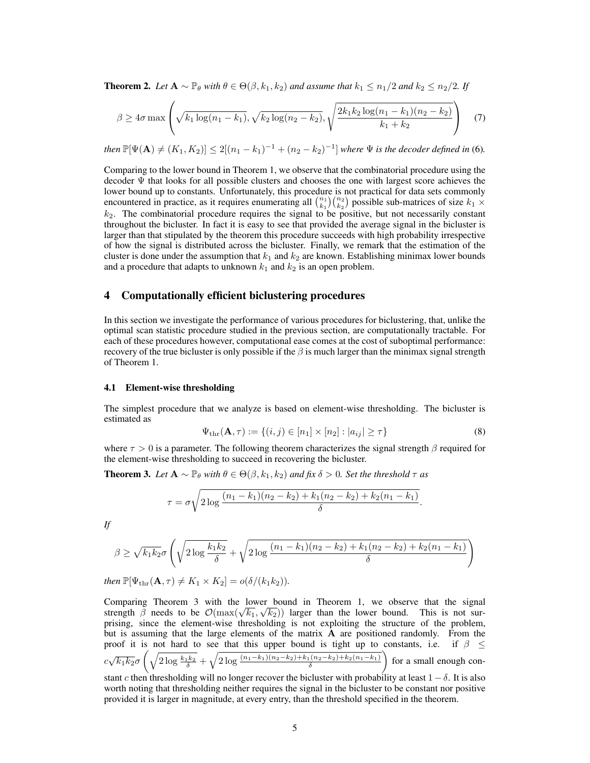**Theorem 2.** Let  $A \sim \mathbb{P}_{\theta}$  with  $\theta \in \Theta(\beta, k_1, k_2)$  and assume that  $k_1 \leq n_1/2$  and  $k_2 \leq n_2/2$ . If

$$
\beta \ge 4\sigma \max\left(\sqrt{k_1 \log(n_1 - k_1)}, \sqrt{k_2 \log(n_2 - k_2)}, \sqrt{\frac{2k_1 k_2 \log(n_1 - k_1)(n_2 - k_2)}{k_1 + k_2}}\right) \quad (7)
$$

*then*  $\mathbb{P}[\Psi(\mathbf{A}) \neq (K_1, K_2)] \leq 2[(n_1 - k_1)^{-1} + (n_2 - k_2)^{-1}]$  where  $\Psi$  is the decoder defined in (6).

Comparing to the lower bound in Theorem 1, we observe that the combinatorial procedure using the decoder  $\Psi$  that looks for all possible clusters and chooses the one with largest score achieves the lower bound up to constants. Unfortunately, this procedure is not practical for data sets commonly encountered in practice, as it requires enumerating all  $\binom{n_1}{k_1}\binom{n_2}{k_2}$  possible sub-matrices of size  $k_1 \times$ *k*2. The combinatorial procedure requires the signal to be positive, but not necessarily constant throughout the bicluster. In fact it is easy to see that provided the average signal in the bicluster is larger than that stipulated by the theorem this procedure succeeds with high probability irrespective of how the signal is distributed across the bicluster. Finally, we remark that the estimation of the cluster is done under the assumption that  $k_1$  and  $k_2$  are known. Establishing minimax lower bounds and a procedure that adapts to unknown  $k_1$  and  $k_2$  is an open problem.

# 4 Computationally efficient biclustering procedures

In this section we investigate the performance of various procedures for biclustering, that, unlike the optimal scan statistic procedure studied in the previous section, are computationally tractable. For each of these procedures however, computational ease comes at the cost of suboptimal performance: recovery of the true bicluster is only possible if the  $\beta$  is much larger than the minimax signal strength of Theorem 1.

#### 4.1 Element-wise thresholding

The simplest procedure that we analyze is based on element-wise thresholding. The bicluster is estimated as

$$
\Psi_{\text{thr}}(\mathbf{A}, \tau) := \{ (i, j) \in [n_1] \times [n_2] : |a_{ij}| \ge \tau \}
$$
\n(8)

where  $\tau > 0$  is a parameter. The following theorem characterizes the signal strength  $\beta$  required for the element-wise thresholding to succeed in recovering the bicluster.

**Theorem 3.** Let  $A \sim \mathbb{P}_{\theta}$  with  $\theta \in \Theta(\beta, k_1, k_2)$  and fix  $\delta > 0$ . Set the threshold  $\tau$  as

$$
\tau = \sigma \sqrt{2 \log \frac{(n_1 - k_1)(n_2 - k_2) + k_1(n_2 - k_2) + k_2(n_1 - k_1)}{\delta}}.
$$

*If*

$$
\beta \ge \sqrt{k_1 k_2} \sigma \left( \sqrt{2 \log \frac{k_1 k_2}{\delta}} + \sqrt{2 \log \frac{(n_1 - k_1)(n_2 - k_2) + k_1(n_2 - k_2) + k_2(n_1 - k_1)}{\delta}} \right)
$$

then 
$$
\mathbb{P}[\Psi_{\text{thr}}(\mathbf{A}, \tau) \neq K_1 \times K_2] = o(\delta/(k_1 k_2)).
$$

Comparing Theorem 3 with the lower bound in Theorem 1, we observe that the signal strength  $\beta$  needs to be  $\mathcal{O}(\max(\sqrt{k_1}, \sqrt{k_2}))$  larger than the lower bound. This is not surprising, since the element-wise thresholding is not exploiting the structure of the problem, but is assuming that the large elements of the matrix A are positioned randomly. From the proof it is not hard to see that this upper bound is tight up to constants, i.e. if  $\beta \leq$  $\int_{c}^{1}$   $c\sqrt{k_{1}k_{2}}\sigma\left(\sqrt{2\log\frac{k_{1}k_{2}}{\delta}}+\sqrt{2\log\frac{(n_{1}-k_{1})(n_{2}-k_{2})+k_{1}(n_{2}-k_{2})+k_{2}(n_{1}-k_{1})}{\delta}}\right)$ ◆ for a small enough constant *c* then thresholding will no longer recover the bicluster with probability at least  $1 - \delta$ . It is also worth noting that thresholding neither requires the signal in the bicluster to be constant nor positive provided it is larger in magnitude, at every entry, than the threshold specified in the theorem.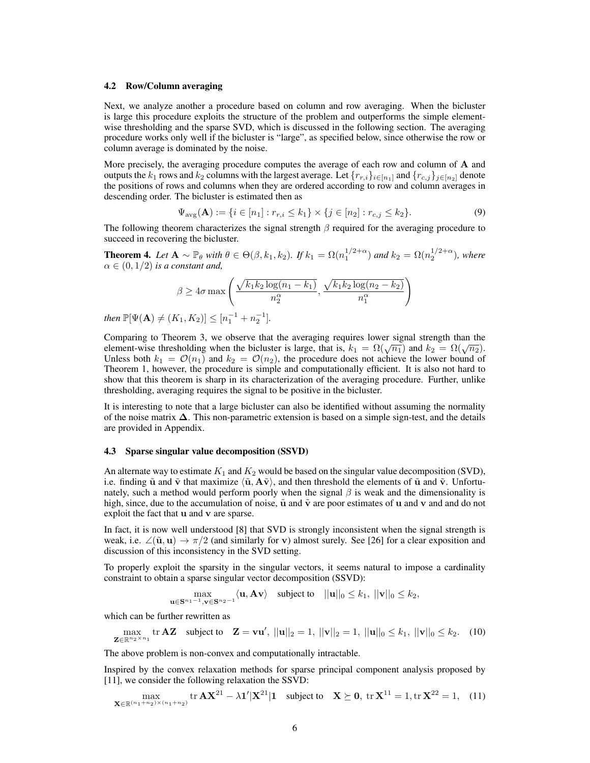#### 4.2 Row/Column averaging

Next, we analyze another a procedure based on column and row averaging. When the bicluster is large this procedure exploits the structure of the problem and outperforms the simple elementwise thresholding and the sparse SVD, which is discussed in the following section. The averaging procedure works only well if the bicluster is "large", as specified below, since otherwise the row or column average is dominated by the noise.

More precisely, the averaging procedure computes the average of each row and column of A and outputs the  $k_1$  rows and  $k_2$  columns with the largest average. Let  $\{r_{r,i}\}_{i\in[n_1]}$  and  $\{r_{c,j}\}_{j\in[n_2]}$  denote the positions of rows and columns when they are ordered according to row and column averages in descending order. The bicluster is estimated then as

$$
\Psi_{\text{avg}}(\mathbf{A}) := \{ i \in [n_1] : r_{r,i} \le k_1 \} \times \{ j \in [n_2] : r_{c,j} \le k_2 \}. \tag{9}
$$

The following theorem characterizes the signal strength  $\beta$  required for the averaging procedure to succeed in recovering the bicluster.

**Theorem 4.** Let  $\mathbf{A} \sim \mathbb{P}_{\theta}$  with  $\theta \in \Theta(\beta, k_1, k_2)$ . If  $k_1 = \Omega(n_1^{1/2+\alpha})$  and  $k_2 = \Omega(n_2^{1/2+\alpha})$ , where  $\alpha \in (0, 1/2)$  *is a constant and,* 

$$
\beta \ge 4\sigma \max\left(\frac{\sqrt{k_1k_2\log(n_1-k_1)}}{n_2^{\alpha}}, \frac{\sqrt{k_1k_2\log(n_2-k_2)}}{n_1^{\alpha}}\right)
$$

*then*  $\mathbb{P}[\Psi(\mathbf{A}) \neq (K_1, K_2)] \leq [n_1^{-1} + n_2^{-1}].$ 

Comparing to Theorem 3, we observe that the averaging requires lower signal strength than the element-wise thresholding when the bicluster is large, that is,  $k_1 = \Omega(\sqrt{n_1})$  and  $k_2 = \Omega(\sqrt{n_2})$ . Unless both  $k_1 = \mathcal{O}(n_1)$  and  $k_2 = \mathcal{O}(n_2)$ , the procedure does not achieve the lower bound of Theorem 1, however, the procedure is simple and computationally efficient. It is also not hard to show that this theorem is sharp in its characterization of the averaging procedure. Further, unlike thresholding, averaging requires the signal to be positive in the bicluster.

It is interesting to note that a large bicluster can also be identified without assuming the normality of the noise matrix  $\Delta$ . This non-parametric extension is based on a simple sign-test, and the details are provided in Appendix.

#### 4.3 Sparse singular value decomposition (SSVD)

An alternate way to estimate  $K_1$  and  $K_2$  would be based on the singular value decomposition (SVD), i.e. finding  $\tilde{u}$  and  $\tilde{v}$  that maximize  $\langle \tilde{u}, A\tilde{v} \rangle$ , and then threshold the elements of  $\tilde{u}$  and  $\tilde{v}$ . Unfortunately, such a method would perform poorly when the signal  $\beta$  is weak and the dimensionality is high, since, due to the accumulation of noise,  $\tilde{u}$  and  $\tilde{v}$  are poor estimates of u and v and and do not exploit the fact that u and v are sparse.

In fact, it is now well understood [8] that SVD is strongly inconsistent when the signal strength is weak, i.e.  $\angle(\tilde{\mathbf{u}}, \mathbf{u}) \rightarrow \pi/2$  (and similarly for v) almost surely. See [26] for a clear exposition and discussion of this inconsistency in the SVD setting.

To properly exploit the sparsity in the singular vectors, it seems natural to impose a cardinality constraint to obtain a sparse singular vector decomposition (SSVD):

$$
\max_{\mathbf{u}\in\mathbf{S}^{n_1-1},\mathbf{v}\in\mathbf{S}^{n_2-1}}\langle\mathbf{u},\mathbf{A}\mathbf{v}\rangle\quad\text{subject to}\quad||\mathbf{u}||_0\leq k_1,\ ||\mathbf{v}||_0\leq k_2,
$$

which can be further rewritten as

$$
\max_{\mathbf{Z} \in \mathbb{R}^{n_2 \times n_1}} \text{tr } \mathbf{A} \mathbf{Z} \quad \text{subject to} \quad \mathbf{Z} = \mathbf{v} \mathbf{u}', \ ||\mathbf{u}||_2 = 1, \ ||\mathbf{v}||_2 = 1, \ ||\mathbf{u}||_0 \le k_1, \ ||\mathbf{v}||_0 \le k_2. \tag{10}
$$

The above problem is non-convex and computationally intractable.

Inspired by the convex relaxation methods for sparse principal component analysis proposed by [11], we consider the following relaxation the SSVD:

$$
\max_{\mathbf{X} \in \mathbb{R}^{(n_1+n_2)\times(n_1+n_2)}} \text{tr } \mathbf{A} \mathbf{X}^{21} - \lambda \mathbf{1}' |\mathbf{X}^{21}| \mathbf{1} \quad \text{subject to} \quad \mathbf{X} \succeq \mathbf{0}, \text{tr } \mathbf{X}^{11} = 1, \text{tr } \mathbf{X}^{22} = 1, \quad (11)
$$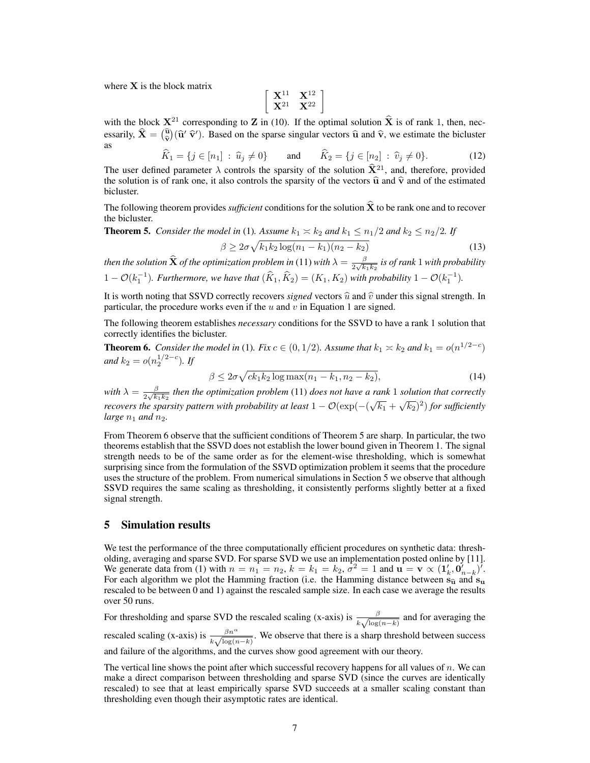where  $X$  is the block matrix

$$
\left[\begin{array}{cc}\mathbf{X}^{11} & \mathbf{X}^{12}\\ \mathbf{X}^{21} & \mathbf{X}^{22}\end{array}\right]
$$

with the block  $X^{21}$  corresponding to Z in (10). If the optimal solution  $\hat{X}$  is of rank 1, then, necessarily,  $\widehat{\mathbf{X}} = \begin{pmatrix} \widehat{\mathbf{u}} \\ \widehat{\mathbf{v}} \end{pmatrix}$  $( \widehat{\mathbf{u}}' \widehat{\mathbf{v}}')$ . Based on the sparse singular vectors  $\widehat{\mathbf{u}}$  and  $\widehat{\mathbf{v}}$ , we estimate the bicluster as

$$
\hat{K}_1 = \{ j \in [n_1] : \hat{u}_j \neq 0 \} \quad \text{and} \quad \hat{K}_2 = \{ j \in [n_2] : \hat{v}_j \neq 0 \}. \tag{12}
$$

The user defined parameter  $\lambda$  controls the sparsity of the solution  $\hat{X}^{21}$ , and, therefore, provided the solution is of rank one, it also controls the sparsity of the vectors  $\hat{u}$  and  $\hat{v}$  and of the estimated bicluster.

The following theorem provides *sufficient* conditions for the solution  $\hat{\mathbf{X}}$  to be rank one and to recover the bicluster.

**Theorem 5.** *Consider the model in* (1)*. Assume*  $k_1 \approx k_2$  *and*  $k_1 \leq n_1/2$  *and*  $k_2 \leq n_2/2$ *. If*  $\beta \geq 2\sigma\sqrt{k_1k_2\log(n_1-k_1)(n_2-k_2)}$  (13)

then the solution  $\widehat{\bf X}$  of the optimization problem in (11) with  $\lambda=\frac{\beta}{2\sqrt{k_1k_2}}$  is of rank  $1$  with probability  $1 - \mathcal{O}(k_1^{-1})$ . Furthermore, we have that  $(\widehat{K}_1, \widehat{K}_2) = (K_1, K_2)$  with probability  $1 - \mathcal{O}(k_1^{-1})$ .

It is worth noting that SSVD correctly recovers *signed* vectors  $\hat{u}$  and  $\hat{v}$  under this signal strength. In particular, the procedure works even if the *u* and *v* in Equation 1 are signed.

The following theorem establishes *necessary* conditions for the SSVD to have a rank 1 solution that correctly identifies the bicluster.

**Theorem 6.** *Consider the model in* (1)*. Fix*  $c \in (0, 1/2)$ *. Assume that*  $k_1 \approx k_2$  *and*  $k_1 = o(n^{1/2-c})$ *and*  $k_2 = o(n_2^{1/2-c})$ *.* If

$$
\beta \le 2\sigma \sqrt{ck_1k_2 \log \max(n_1 - k_1, n_2 - k_2)},\tag{14}
$$

with  $\lambda = \frac{\beta}{2\sqrt{k_1k_2}}$  then the optimization problem (11) does not have a rank 1 solution that correctly *recovers the sparsity pattern with probability at least*  $1 - \mathcal{O}(\exp(-(\sqrt{k_1} + \sqrt{k_2})^2))$  *for sufficiently large*  $n_1$  *and*  $n_2$ *.* 

From Theorem 6 observe that the sufficient conditions of Theorem 5 are sharp. In particular, the two theorems establish that the SSVD does not establish the lower bound given in Theorem 1. The signal strength needs to be of the same order as for the element-wise thresholding, which is somewhat surprising since from the formulation of the SSVD optimization problem it seems that the procedure uses the structure of the problem. From numerical simulations in Section 5 we observe that although SSVD requires the same scaling as thresholding, it consistently performs slightly better at a fixed signal strength.

## 5 Simulation results

We test the performance of the three computationally efficient procedures on synthetic data: thresholding, averaging and sparse SVD. For sparse SVD we use an implementation posted online by [11]. We generate data from (1) with  $n = n_1 = n_2$ ,  $k = k_1 = k_2$ ,  $\sigma^2 = 1$  and  $\mathbf{u} = \mathbf{v} \propto (\mathbf{1}'_k, \mathbf{0}'_{n-k})'$ . For each algorithm we plot the Hamming fraction (i.e. the Hamming distance between  $s_{\hat{u}}$  and  $s_{u}$ <br>recealed to be between 0 and 1) against the recealed sample size. In each assessme suggest the possible rescaled to be between 0 and 1) against the rescaled sample size. In each case we average the results over 50 runs.

For thresholding and sparse SVD the rescaled scaling (x-axis) is  $\frac{\beta}{k\sqrt{\log(n-k)}}$  and for averaging the rescaled scaling (x-axis) is  $\frac{\beta n^{\alpha}}{k\sqrt{\log(n-k)}}$ . We observe that there is a sharp threshold between success and failure of the algorithms, and the curves show good agreement with our theory.

The vertical line shows the point after which successful recovery happens for all values of *n*. We can make a direct comparison between thresholding and sparse SVD (since the curves are identically rescaled) to see that at least empirically sparse SVD succeeds at a smaller scaling constant than thresholding even though their asymptotic rates are identical.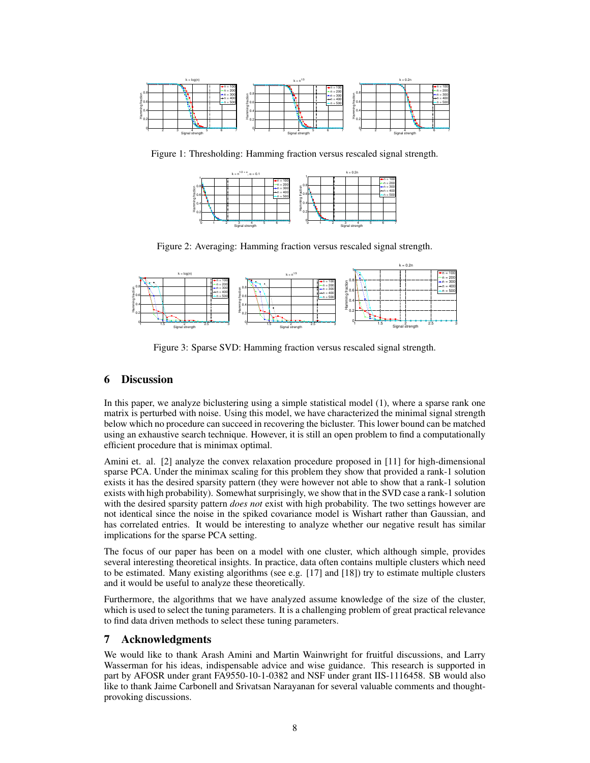

Figure 1: Thresholding: Hamming fraction versus rescaled signal strength.



Figure 2: Averaging: Hamming fraction versus rescaled signal strength.



Figure 3: Sparse SVD: Hamming fraction versus rescaled signal strength.

# 6 Discussion

In this paper, we analyze biclustering using a simple statistical model (1), where a sparse rank one matrix is perturbed with noise. Using this model, we have characterized the minimal signal strength below which no procedure can succeed in recovering the bicluster. This lower bound can be matched using an exhaustive search technique. However, it is still an open problem to find a computationally efficient procedure that is minimax optimal.

Amini et. al. [2] analyze the convex relaxation procedure proposed in [11] for high-dimensional sparse PCA. Under the minimax scaling for this problem they show that provided a rank-1 solution exists it has the desired sparsity pattern (they were however not able to show that a rank-1 solution exists with high probability). Somewhat surprisingly, we show that in the SVD case a rank-1 solution with the desired sparsity pattern *does not* exist with high probability. The two settings however are not identical since the noise in the spiked covariance model is Wishart rather than Gaussian, and has correlated entries. It would be interesting to analyze whether our negative result has similar implications for the sparse PCA setting.

The focus of our paper has been on a model with one cluster, which although simple, provides several interesting theoretical insights. In practice, data often contains multiple clusters which need to be estimated. Many existing algorithms (see e.g.  $[17]$  and  $[18]$ ) try to estimate multiple clusters and it would be useful to analyze these theoretically.

Furthermore, the algorithms that we have analyzed assume knowledge of the size of the cluster, which is used to select the tuning parameters. It is a challenging problem of great practical relevance to find data driven methods to select these tuning parameters.

# 7 Acknowledgments

We would like to thank Arash Amini and Martin Wainwright for fruitful discussions, and Larry Wasserman for his ideas, indispensable advice and wise guidance. This research is supported in part by AFOSR under grant FA9550-10-1-0382 and NSF under grant IIS-1116458. SB would also like to thank Jaime Carbonell and Srivatsan Narayanan for several valuable comments and thoughtprovoking discussions.